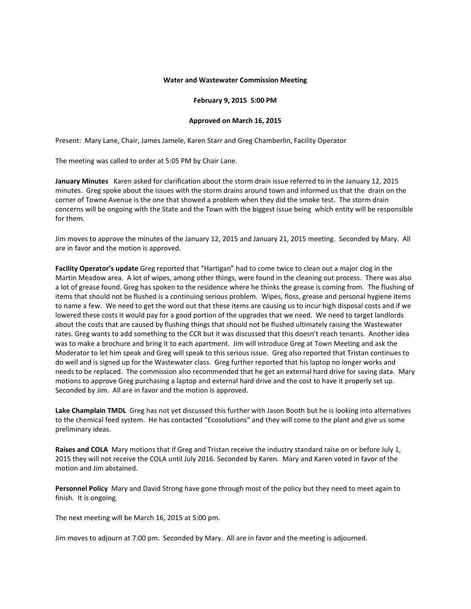## **Water and Wastewater Commission Meeting**

## **February 9, 2015 5:00 PM**

## **Approved on March 16, 2015**

Present: Mary Lane, Chair, James Jamele, Karen Starr and Greg Chamberlin, Facility Operator

The meeting was called to order at 5:05 PM by Chair Lane.

**January Minutes** Karen asked for clarification about the storm drain issue referred to in the January 12, 2015 minutes. Greg spoke about the issues with the storm drains around town and informed us that the drain on the corner of Towne Avenue is the one that showed a problem when they did the smoke test. The storm drain concerns will be ongoing with the State and the Town with the biggest issue being which entity will be responsible for them.

Jim moves to approve the minutes of the January 12, 2015 and January 21, 2015 meeting. Seconded by Mary. All are in favor and the motion is approved.

**Facility Operator's update** Greg reported that "Hartigan" had to come twice to clean out a major clog in the Martin Meadow area. A lot of wipes, among other things, were found in the cleaning out process. There was also a lot of grease found. Greg has spoken to the residence where he thinks the grease is coming from. The flushing of items that should not be flushed is a continuing serious problem. Wipes, floss, grease and personal hygiene items to name a few. We need to get the word out that these items are causing us to incur high disposal costs and if we lowered these costs it would pay for a good portion of the upgrades that we need. We need to target landlords about the costs that are caused by flushing things that should not be flushed ultimately raising the Wastewater rates. Greg wants to add something to the CCR but it was discussed that this doesn't reach tenants. Another idea was to make a brochure and bring it to each apartment. Jim will introduce Greg at Town Meeting and ask the Moderator to let him speak and Greg will speak to this serious issue. Greg also reported that Tristan continues to do well and is signed up for the Wastewater class. Greg further reported that his laptop no longer works and needs to be replaced. The commission also recommended that he get an external hard drive for saving data. Mary motions to approve Greg purchasing a laptop and external hard drive and the cost to have it properly set up. Seconded by Jim. All are in favor and the motion is approved.

**Lake Champlain TMDL** Greg has not yet discussed this further with Jason Booth but he is looking into alternatives to the chemical feed system. He has contacted "Ecosolutions" and they will come to the plant and give us some preliminary ideas.

**Raises and COLA** Mary motions that if Greg and Tristan receive the industry standard raise on or before July 1, 2015 they will not receive the COLA until July 2016. Seconded by Karen. Mary and Karen voted in favor of the motion and Jim abstained

**Personnel Policy** Mary and David Strong have gone through most of the policy but they need to meet again to finish. It is ongoing.

The next meeting will be March 16, 2015 at 5:00 pm.

Jim moves to adjourn at 7:00 pm. Seconded by Mary. All are in favor and the meeting is adjourned.